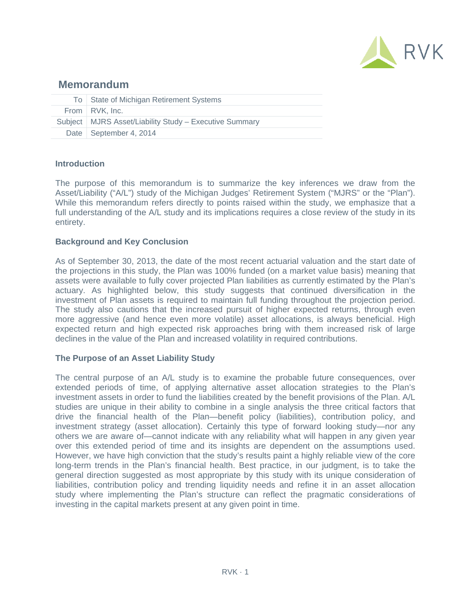

# **Memorandum**

| To State of Michigan Retirement Systems                  |
|----------------------------------------------------------|
| From RVK, Inc.                                           |
| Subject   MJRS Asset/Liability Study - Executive Summary |
| Date   September 4, 2014                                 |

# **Introduction**

The purpose of this memorandum is to summarize the key inferences we draw from the Asset/Liability ("A/L") study of the Michigan Judges' Retirement System ("MJRS" or the "Plan"). While this memorandum refers directly to points raised within the study, we emphasize that a full understanding of the A/L study and its implications requires a close review of the study in its entirety.

# **Background and Key Conclusion**

As of September 30, 2013, the date of the most recent actuarial valuation and the start date of the projections in this study, the Plan was 100% funded (on a market value basis) meaning that assets were available to fully cover projected Plan liabilities as currently estimated by the Plan's actuary. As highlighted below, this study suggests that continued diversification in the investment of Plan assets is required to maintain full funding throughout the projection period. The study also cautions that the increased pursuit of higher expected returns, through even more aggressive (and hence even more volatile) asset allocations, is always beneficial. High expected return and high expected risk approaches bring with them increased risk of large declines in the value of the Plan and increased volatility in required contributions.

### **The Purpose of an Asset Liability Study**

The central purpose of an A/L study is to examine the probable future consequences, over extended periods of time, of applying alternative asset allocation strategies to the Plan's investment assets in order to fund the liabilities created by the benefit provisions of the Plan. A/L studies are unique in their ability to combine in a single analysis the three critical factors that drive the financial health of the Plan—benefit policy (liabilities), contribution policy, and investment strategy (asset allocation). Certainly this type of forward looking study—nor any others we are aware of—cannot indicate with any reliability what will happen in any given year over this extended period of time and its insights are dependent on the assumptions used. However, we have high conviction that the study's results paint a highly reliable view of the core long-term trends in the Plan's financial health. Best practice, in our judgment, is to take the general direction suggested as most appropriate by this study with its unique consideration of liabilities, contribution policy and trending liquidity needs and refine it in an asset allocation study where implementing the Plan's structure can reflect the pragmatic considerations of investing in the capital markets present at any given point in time.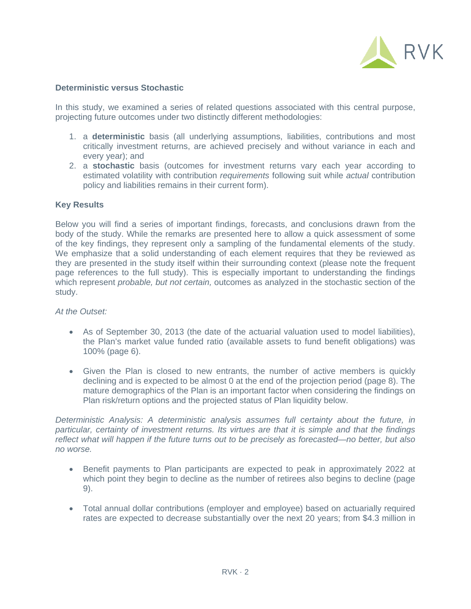

## **Deterministic versus Stochastic**

In this study, we examined a series of related questions associated with this central purpose, projecting future outcomes under two distinctly different methodologies:

- 1. a **deterministic** basis (all underlying assumptions, liabilities, contributions and most critically investment returns, are achieved precisely and without variance in each and every year); and
- 2. a **stochastic** basis (outcomes for investment returns vary each year according to estimated volatility with contribution *requirements* following suit while *actual* contribution policy and liabilities remains in their current form).

# **Key Results**

Below you will find a series of important findings, forecasts, and conclusions drawn from the body of the study. While the remarks are presented here to allow a quick assessment of some of the key findings, they represent only a sampling of the fundamental elements of the study. We emphasize that a solid understanding of each element requires that they be reviewed as they are presented in the study itself within their surrounding context (please note the frequent page references to the full study). This is especially important to understanding the findings which represent *probable, but not certain,* outcomes as analyzed in the stochastic section of the study.

### *At the Outset:*

- As of September 30, 2013 (the date of the actuarial valuation used to model liabilities), the Plan's market value funded ratio (available assets to fund benefit obligations) was 100% (page 6).
- Given the Plan is closed to new entrants, the number of active members is quickly declining and is expected to be almost 0 at the end of the projection period (page 8). The mature demographics of the Plan is an important factor when considering the findings on Plan risk/return options and the projected status of Plan liquidity below.

*Deterministic Analysis: A deterministic analysis assumes full certainty about the future, in particular, certainty of investment returns. Its virtues are that it is simple and that the findings reflect what will happen if the future turns out to be precisely as forecasted—no better, but also no worse.* 

- Benefit payments to Plan participants are expected to peak in approximately 2022 at which point they begin to decline as the number of retirees also begins to decline (page 9).
- Total annual dollar contributions (employer and employee) based on actuarially required rates are expected to decrease substantially over the next 20 years; from \$4.3 million in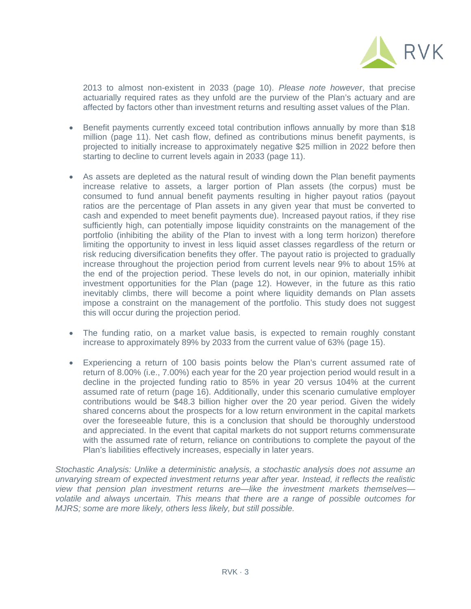

2013 to almost non-existent in 2033 (page 10). *Please note however*, that precise actuarially required rates as they unfold are the purview of the Plan's actuary and are affected by factors other than investment returns and resulting asset values of the Plan.

- Benefit payments currently exceed total contribution inflows annually by more than \$18 million (page 11). Net cash flow, defined as contributions minus benefit payments, is projected to initially increase to approximately negative \$25 million in 2022 before then starting to decline to current levels again in 2033 (page 11).
- As assets are depleted as the natural result of winding down the Plan benefit payments increase relative to assets, a larger portion of Plan assets (the corpus) must be consumed to fund annual benefit payments resulting in higher payout ratios (payout ratios are the percentage of Plan assets in any given year that must be converted to cash and expended to meet benefit payments due). Increased payout ratios, if they rise sufficiently high, can potentially impose liquidity constraints on the management of the portfolio (inhibiting the ability of the Plan to invest with a long term horizon) therefore limiting the opportunity to invest in less liquid asset classes regardless of the return or risk reducing diversification benefits they offer. The payout ratio is projected to gradually increase throughout the projection period from current levels near 9% to about 15% at the end of the projection period. These levels do not, in our opinion, materially inhibit investment opportunities for the Plan (page 12). However, in the future as this ratio inevitably climbs, there will become a point where liquidity demands on Plan assets impose a constraint on the management of the portfolio. This study does not suggest this will occur during the projection period.
- The funding ratio, on a market value basis, is expected to remain roughly constant increase to approximately 89% by 2033 from the current value of 63% (page 15).
- Experiencing a return of 100 basis points below the Plan's current assumed rate of return of 8.00% (i.e., 7.00%) each year for the 20 year projection period would result in a decline in the projected funding ratio to 85% in year 20 versus 104% at the current assumed rate of return (page 16). Additionally, under this scenario cumulative employer contributions would be \$48.3 billion higher over the 20 year period. Given the widely shared concerns about the prospects for a low return environment in the capital markets over the foreseeable future, this is a conclusion that should be thoroughly understood and appreciated. In the event that capital markets do not support returns commensurate with the assumed rate of return, reliance on contributions to complete the payout of the Plan's liabilities effectively increases, especially in later years.

*Stochastic Analysis: Unlike a deterministic analysis, a stochastic analysis does not assume an unvarying stream of expected investment returns year after year. Instead, it reflects the realistic view that pension plan investment returns are—like the investment markets themselves volatile and always uncertain. This means that there are a range of possible outcomes for MJRS; some are more likely, others less likely, but still possible.*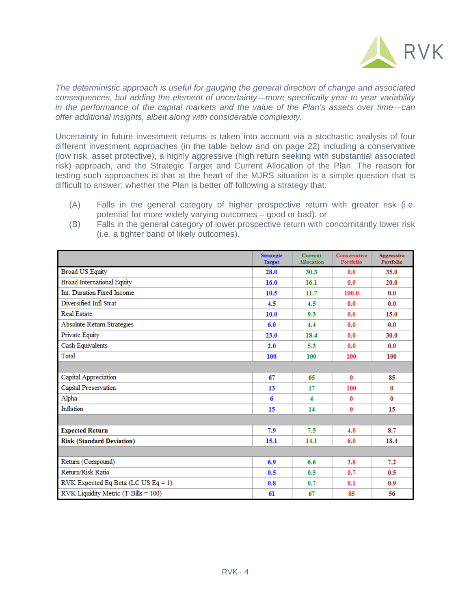

*The deterministic approach is useful for gauging the general direction of change and associated consequences, but adding the element of uncertainty—more specifically year to year variability in the performance of the capital markets and the value of the Plan's assets over time—can offer additional insights, albeit along with considerable complexity.* 

Uncertainty in future investment returns is taken into account via a stochastic analysis of four different investment approaches (in the table below and on page 22) including a conservative (low risk, asset protective), a highly aggressive (high return seeking with substantial associated risk) approach, and the Strategic Target and Current Allocation of the Plan. The reason for testing such approaches is that at the heart of the MJRS situation is a simple question that is difficult to answer: whether the Plan is better off following a strategy that:

(A) Falls in the general category of higher prospective return with greater risk (i.e. potential for more widely varying outcomes – good or bad), or

|                                      | <b>Strategic</b><br><b>Target</b> | <b>Current</b><br><b>Allocation</b> | Conservative<br>Portfolio | Aggressive<br>Portfolio |
|--------------------------------------|-----------------------------------|-------------------------------------|---------------------------|-------------------------|
| <b>Broad US Equity</b>               | 28.0                              | 30.3                                | 0.0                       | 35.0                    |
| <b>Broad International Equity</b>    | 16.0                              | 16.1                                | 0.0                       | 20.0                    |
| Int. Duration Fixed Income           | 10.5                              | 11.7                                | 100.0                     | 0.0                     |
| Diversified Infl Strat               | 4.5                               | 4.5                                 | 0.0                       | 0.0                     |
| <b>Real Estate</b>                   | 10.0                              | 9.3                                 | 0.0                       | 15.0                    |
| <b>Absolute Return Strategies</b>    | 6.0                               | 4.4                                 | 0.0                       | 0.0                     |
| Private Equity                       | 23.0                              | 18.4                                | 0.0                       | 30.0                    |
| Cash Equivalents                     | 2.0                               | 5.3                                 | 0.0                       | 0.0                     |
| Total                                | 100                               | 100                                 | 100                       | 100                     |
|                                      |                                   |                                     |                           |                         |
| Capital Appreciation                 | 67                                | 65                                  | $\mathbf{0}$              | 85                      |
| Capital Preservation                 | 13                                | 17                                  | 100                       | 0                       |
| Alpha                                | 6                                 | $\overline{4}$                      | $\mathbf{0}$              | $\bf{0}$                |
| Inflation                            | 15                                | 14                                  | $\bf{0}$                  | 15                      |
|                                      |                                   |                                     |                           |                         |
| <b>Expected Return</b>               | 7.9                               | 7.5                                 | 4.0                       | 8.7                     |
| <b>Risk (Standard Deviation)</b>     | 15.1                              | 14.1                                | 6.0                       | 18.4                    |
|                                      |                                   |                                     |                           |                         |
| Return (Compound)                    | 6.9                               | 6.6                                 | 3.8                       | 7.2                     |
| Return/Risk Ratio                    | 0.5                               | 0.5                                 | 0.7                       | 0.5                     |
| RVK Expected Eq Beta (LC US Eq = 1)  | 0.8                               | 0.7                                 | 0.1                       | 0.9                     |
| RVK Liquidity Metric (T-Bills = 100) | 61                                | 67                                  | 85                        | 56                      |

(B) Falls in the general category of lower prospective return with concomitantly lower risk (i.e. a tighter band of likely outcomes).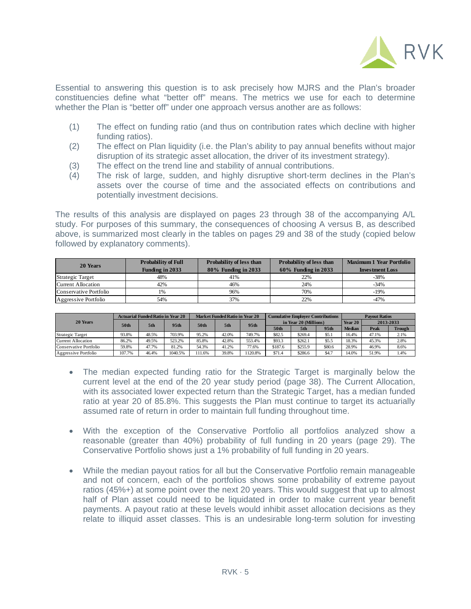

Essential to answering this question is to ask precisely how MJRS and the Plan's broader constituencies define what "better off" means. The metrics we use for each to determine whether the Plan is "better off" under one approach versus another are as follows:

- (1) The effect on funding ratio (and thus on contribution rates which decline with higher funding ratios).
- (2) The effect on Plan liquidity (i.e. the Plan's ability to pay annual benefits without major disruption of its strategic asset allocation, the driver of its investment strategy).
- (3) The effect on the trend line and stability of annual contributions.
- (4) The risk of large, sudden, and highly disruptive short-term declines in the Plan's assets over the course of time and the associated effects on contributions and potentially investment decisions.

The results of this analysis are displayed on pages 23 through 38 of the accompanying A/L study. For purposes of this summary, the consequences of choosing A versus B, as described above, is summarized most clearly in the tables on pages 29 and 38 of the study (copied below followed by explanatory comments).

| 20 Years               | <b>Probability of Full</b> | <b>Probability of less than</b> | Probability of less than | <b>Maximum 1 Year Portfolio</b> |  |  |
|------------------------|----------------------------|---------------------------------|--------------------------|---------------------------------|--|--|
|                        | Funding in 2033            | 80% Funding in 2033             | 60% Funding in 2033      | <b>Investment Loss</b>          |  |  |
| Strategic Target       | 48%                        | 41%                             | 22%                      | $-38%$                          |  |  |
| Current Allocation     | 42%                        | 46%                             | 24%                      | $-34\%$                         |  |  |
| Conservative Portfolio | 1%                         | 96%                             | 70%                      | $-19%$                          |  |  |
| Aggressive Portfolio   | 54%                        | 37%                             | 22%                      | -47%                            |  |  |

| 20 Years               | <b>Actuarial Funded Ratio in Year 20</b> |       |         | <b>Market Funded Ratio in Year 20</b> |       |                  | <b>Cumulative Employer Contributions</b> |         |        | <b>Payout Ratios</b> |       |               |  |
|------------------------|------------------------------------------|-------|---------|---------------------------------------|-------|------------------|------------------------------------------|---------|--------|----------------------|-------|---------------|--|
|                        | 50th                                     | 5th   | 95th    | 50th                                  | 5th   | 95 <sub>th</sub> | in Year 20 (Millions)                    |         |        | Year 20              |       | 2013-2033     |  |
|                        |                                          |       |         |                                       |       |                  | 50th                                     | 5th     | 95th   | <b>Median</b>        | Peak  | <b>Trough</b> |  |
| Strategic Target       | 93.8%                                    | 48.5% | 703.9%  | 95.2%                                 | 42.0% | 749.7%           | \$82.5                                   | \$269.4 | \$5.1  | 16.4%                | 47.1% | 2.1%          |  |
| Current Allocation     | 86.2%                                    | 49.5% | 523.2%  | 85.8%                                 | 42.8% | 553.4%           | \$93.3                                   | \$262.1 | \$5.5  | 18.3%                | 45.3% | 2.8%          |  |
| Conservative Portfolio | 59.8%                                    | 47.7% | 81.2%   | 54.3%                                 | 41.2% | 77.6%            | \$187.6                                  | \$255.9 | \$80.6 | 28.9%                | 46.9% | 8.6%          |  |
| Aggressive Portfolio   | 107.7%                                   | 46.4% | 1040.5% | 111.6%                                | 39.8% | 1120.8%          | \$71.4                                   | \$286.6 | \$4.7  | 14.0%                | 51.9% | 1.4%          |  |

- The median expected funding ratio for the Strategic Target is marginally below the current level at the end of the 20 year study period (page 38). The Current Allocation, with its associated lower expected return than the Strategic Target, has a median funded ratio at year 20 of 85.8%. This suggests the Plan must continue to target its actuarially assumed rate of return in order to maintain full funding throughout time.
- With the exception of the Conservative Portfolio all portfolios analyzed show a reasonable (greater than 40%) probability of full funding in 20 years (page 29). The Conservative Portfolio shows just a 1% probability of full funding in 20 years.
- While the median payout ratios for all but the Conservative Portfolio remain manageable and not of concern, each of the portfolios shows some probability of extreme payout ratios (45%+) at some point over the next 20 years. This would suggest that up to almost half of Plan asset could need to be liquidated in order to make current year benefit payments. A payout ratio at these levels would inhibit asset allocation decisions as they relate to illiquid asset classes. This is an undesirable long-term solution for investing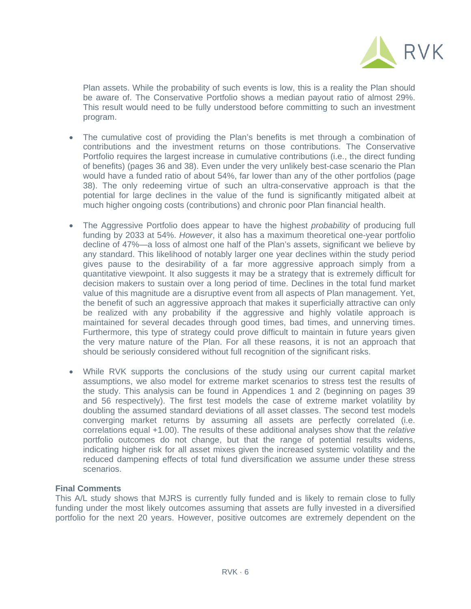

Plan assets. While the probability of such events is low, this is a reality the Plan should be aware of. The Conservative Portfolio shows a median payout ratio of almost 29%. This result would need to be fully understood before committing to such an investment program.

- The cumulative cost of providing the Plan's benefits is met through a combination of contributions and the investment returns on those contributions. The Conservative Portfolio requires the largest increase in cumulative contributions (i.e., the direct funding of benefits) (pages 36 and 38). Even under the very unlikely best-case scenario the Plan would have a funded ratio of about 54%, far lower than any of the other portfolios (page 38). The only redeeming virtue of such an ultra-conservative approach is that the potential for large declines in the value of the fund is significantly mitigated albeit at much higher ongoing costs (contributions) and chronic poor Plan financial health.
- The Aggressive Portfolio does appear to have the highest *probability* of producing full funding by 2033 at 54%. *However*, it also has a maximum theoretical one-year portfolio decline of 47%—a loss of almost one half of the Plan's assets, significant we believe by any standard. This likelihood of notably larger one year declines within the study period gives pause to the desirability of a far more aggressive approach simply from a quantitative viewpoint. It also suggests it may be a strategy that is extremely difficult for decision makers to sustain over a long period of time. Declines in the total fund market value of this magnitude are a disruptive event from all aspects of Plan management. Yet, the benefit of such an aggressive approach that makes it superficially attractive can only be realized with any probability if the aggressive and highly volatile approach is maintained for several decades through good times, bad times, and unnerving times. Furthermore, this type of strategy could prove difficult to maintain in future years given the very mature nature of the Plan. For all these reasons, it is not an approach that should be seriously considered without full recognition of the significant risks.
- While RVK supports the conclusions of the study using our current capital market assumptions, we also model for extreme market scenarios to stress test the results of the study. This analysis can be found in Appendices 1 and 2 (beginning on pages 39 and 56 respectively). The first test models the case of extreme market volatility by doubling the assumed standard deviations of all asset classes. The second test models converging market returns by assuming all assets are perfectly correlated (i.e. correlations equal +1.00). The results of these additional analyses show that the *relative* portfolio outcomes do not change, but that the range of potential results widens, indicating higher risk for all asset mixes given the increased systemic volatility and the reduced dampening effects of total fund diversification we assume under these stress scenarios.

# **Final Comments**

This A/L study shows that MJRS is currently fully funded and is likely to remain close to fully funding under the most likely outcomes assuming that assets are fully invested in a diversified portfolio for the next 20 years. However, positive outcomes are extremely dependent on the